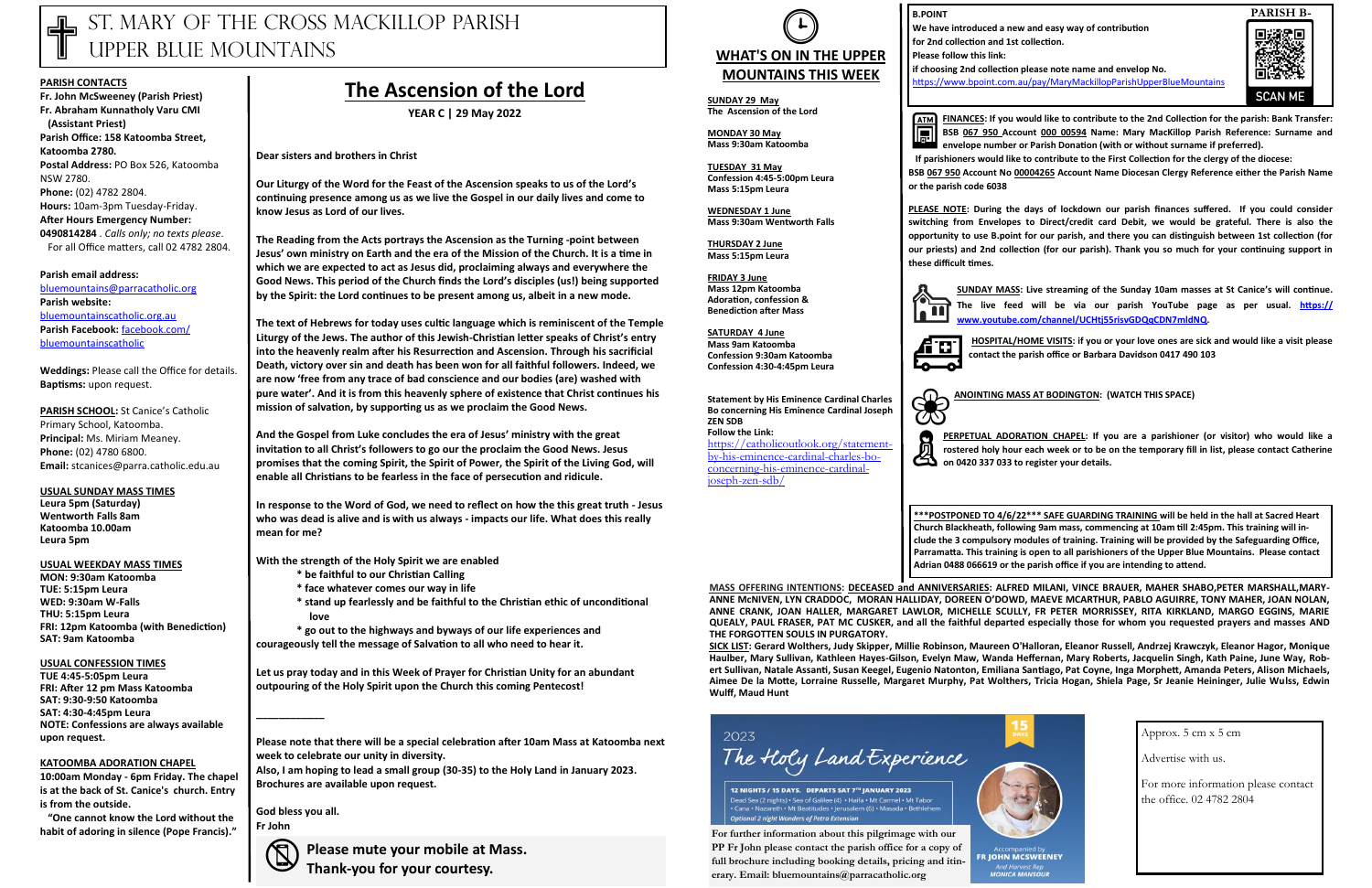# ST. MARY OF THE CROSS MACKILLOP PARISH UPPER BLUE MOUNTAINS

#### **PARISH CONTACTS**

**Fr. John McSweeney (Parish Priest) Fr. Abraham Kunnatholy Varu CMI (Assistant Priest) Parish Office: 158 Katoomba Street, Katoomba 2780. Postal Address:** PO Box 526, Katoomba NSW 2780. **Phone:** (02) 4782 2804. **Hours:** 10am-3pm Tuesday-Friday. **After Hours Emergency Number: 0490814284** . *Calls only; no texts please*. For all Office matters, call 02 4782 2804.

**PARISH SCHOOL:** St Canice's Catholic Primary School, Katoomba. **Principal:** Ms. Miriam Meaney. **Phone:** (02) 4780 6800. **Email:** stcanices@parra.catholic.edu.au

**Parish email address:**  [bluemountains@parracatholic.org](mailto:bluemountains@parracatholic.org) **Parish website:** [bluemountainscatholic.org.au](http://www.bluemountainscatholic.org.au) **Parish Facebook:** [facebook.com/](http://www.facebook.com/bluemountainscatholic) [bluemountainscatholic](http://www.facebook.com/bluemountainscatholic) 

**Weddings:** Please call the Office for details. **Baptisms:** upon request.

**USUAL SUNDAY MASS TIMES Leura 5pm (Saturday) Wentworth Falls 8am Katoomba 10.00am Leura 5pm** 

**USUAL WEEKDAY MASS TIMES**

**MON: 9:30am Katoomba TUE: 5:15pm Leura WED: 9:30am W-Falls THU: 5:15pm Leura FRI: 12pm Katoomba (with Benediction) SAT: 9am Katoomba**

#### **USUAL CONFESSION TIMES**

**TUE 4:45-5:05pm Leura FRI: After 12 pm Mass Katoomba SAT: 9:30-9:50 Katoomba SAT: 4:30-4:45pm Leura NOTE: Confessions are always available upon request.**

#### **KATOOMBA ADORATION CHAPEL**

**10:00am Monday - 6pm Friday. The chapel is at the back of St. Canice's church. Entry is from the outside.**

 **"One cannot know the Lord without the habit of adoring in silence (Pope Francis)."**

## **The Ascension of the Lord**

**YEAR C | 29 May 2022**

**Dear sisters and brothers in Christ**

**Our Liturgy of the Word for the Feast of the Ascension speaks to us of the Lord's continuing presence among us as we live the Gospel in our daily lives and come to know Jesus as Lord of our lives.**

**The Reading from the Acts portrays the Ascension as the Turning -point between Jesus' own ministry on Earth and the era of the Mission of the Church. It is a time in which we are expected to act as Jesus did, proclaiming always and everywhere the Good News. This period of the Church finds the Lord's disciples (us!) being supported by the Spirit: the Lord continues to be present among us, albeit in a new mode.**

**The text of Hebrews for today uses cultic language which is reminiscent of the Temple Liturgy of the Jews. The author of this Jewish-Christian letter speaks of Christ's entry into the heavenly realm after his Resurrection and Ascension. Through his sacrificial Death, victory over sin and death has been won for all faithful followers. Indeed, we are now 'free from any trace of bad conscience and our bodies (are) washed with pure water'. And it is from this heavenly sphere of existence that Christ continues his mission of salvation, by supporting us as we proclaim the Good News.**

**SUNDAY MASS:** Live streaming of the Sunday 10am masses at St Canice's will continue.<br>
The live feed will be via our parish YouTube page as per usual. **https://**<br>
www.youtube.com/channel/UCHti55risvGDQqCDN7mldNQ. **The live feed will be via our parish YouTube page as per usual. [https://](https://apac01.safelinks.protection.outlook.com/?url=https%3A%2F%2Fwww.youtube.com%2Fchannel%2FUCHtj55risvGDQqCDN7mldNQ&data=04%7C01%7C%7Cad1945e953774494d3e808d993528608%7C84df9e7fe9f640afb435aaaaaaaaaaaa%7C1%7C0%7C637702804933242043%7CUnknown%7CTWFpbGZsb3d8) [www.youtube.com/channel/UCHtj55risvGDQqCDN7mldNQ.](https://apac01.safelinks.protection.outlook.com/?url=https%3A%2F%2Fwww.youtube.com%2Fchannel%2FUCHtj55risvGDQqCDN7mldNQ&data=04%7C01%7C%7Cad1945e953774494d3e808d993528608%7C84df9e7fe9f640afb435aaaaaaaaaaaa%7C1%7C0%7C637702804933242043%7CUnknown%7CTWFpbGZsb3d8)**

HOSPITAL/HOME VISITS: if you or your love ones are sick and would like a visit please contact the parish office or Barbara Davidson 0417,490,103 **contact the parish office or Barbara Davidson 0417 490 103** 

**PERPETUAL ADORATION CHAPEL:** If your consterved holy hour each week or to be on 0420 337 033 to register your details. **PERPETUAL ADORATION CHAPEL: If you are a parishioner (or visitor) who would like a rostered holy hour each week or to be on the temporary fill in list, please contact Catherine** 

**And the Gospel from Luke concludes the era of Jesus' ministry with the great invitation to all Christ's followers to go our the proclaim the Good News. Jesus promises that the coming Spirit, the Spirit of Power, the Spirit of the Living God, will enable all Christians to be fearless in the face of persecution and ridicule.**

**In response to the Word of God, we need to reflect on how the this great truth - Jesus who was dead is alive and is with us always - impacts our life. What does this really mean for me?**

**With the strength of the Holy Spirit we are enabled** 

- **\* be faithful to our Christian Calling**
- **\* face whatever comes our way in life**
- **\* stand up fearlessly and be faithful to the Christian ethic of unconditional love**

**\* go out to the highways and byways of our life experiences and courageously tell the message of Salvation to all who need to hear it.**

**Let us pray today and in this Week of Prayer for Christian Unity for an abundant outpouring of the Holy Spirit upon the Church this coming Pentecost!**

**\_\_\_\_\_\_\_\_\_\_\_\_**



**Please note that there will be a special celebration after 10am Mass at Katoomba next week to celebrate our unity in diversity.**

**Also, I am hoping to lead a small group (30-35) to the Holy Land in January 2023. Brochures are available upon request.**

**God bless you all. Fr John**

> **Please mute your mobile at Mass. Thank-you for your courtesy.**

**FINANCES: If you would like to contribute to the 2nd Collection for the parish: Bank Transfer: BSB 067 950 Account 000 00594 Name: Mary MacKillop Parish Reference: Surname and envelope number or Parish Donation (with or without surname if preferred).** 

 **If parishioners would like to contribute to the First Collection for the clergy of the diocese:** 

**BSB 067 950 Account No 00004265 Account Name Diocesan Clergy Reference either the Parish Name** 

**or the parish code 6038** 

**PLEASE NOTE: During the days of lockdown our parish finances suffered. If you could consider switching from Envelopes to Direct/credit card Debit, we would be grateful. There is also the opportunity to use B.point for our parish, and there you can distinguish between 1st collection (for our priests) and 2nd collection (for our parish). Thank you so much for your continuing support in** 

**these difficult times.**

❀

**ANOINTING MASS AT BODINGTON: (WATCH THIS SPACE)**

**B.POINT**

**We have introduced a new and easy way of contribution for 2nd collection and 1st collection.**

**Please follow this link:** 

**if choosing 2nd collection please note name and envelop No.** <https://www.bpoint.com.au/pay/MaryMackillopParishUpperBlueMountains>





#### **SUNDAY 29 May The Ascension of the Lord**

**MONDAY 30 May Mass 9:30am Katoomba**

**TUESDAY 31 May Confession 4:45-5:00pm Leura Mass 5:15pm Leura** 

**WEDNESDAY 1 June Mass 9:30am Wentworth Falls** 

**THURSDAY 2 June Mass 5:15pm Leura**

**FRIDAY 3 June Mass 12pm Katoomba Adoration, confession & Benediction after Mass**

**SATURDAY 4 June Mass 9am Katoomba Confession 9:30am Katoomba Confession 4:30-4:45pm Leura** 

**Statement by His Eminence Cardinal Charles Bo concerning His Eminence Cardinal Joseph ZEN SDB Follow the Link:**

[https://catholicoutlook.org/statement](https://catholicoutlook.org/statement-by-his-eminence-cardinal-charles-bo-concerning-his-eminence-cardinal-joseph-zen-sdb/)[by-his-eminence-cardinal-charles-bo](https://catholicoutlook.org/statement-by-his-eminence-cardinal-charles-bo-concerning-his-eminence-cardinal-joseph-zen-sdb/)[concerning-his-eminence-cardinal](https://catholicoutlook.org/statement-by-his-eminence-cardinal-charles-bo-concerning-his-eminence-cardinal-joseph-zen-sdb/)[joseph-zen-sdb/](https://catholicoutlook.org/statement-by-his-eminence-cardinal-charles-bo-concerning-his-eminence-cardinal-joseph-zen-sdb/)



**ATM** 

**MASS OFFERING INTENTIONS: DECEASED and ANNIVERSARIES: ALFRED MILANI, VINCE BRAUER, MAHER SHABO,PETER MARSHALL,MARY-ANNE McNIVEN, LYN CRADDOC, MORAN HALLIDAY, DOREEN O'DOWD, MAEVE MCARTHUR, PABLO AGUIRRE, TONY MAHER, JOAN NOLAN, ANNE CRANK, JOAN HALLER, MARGARET LAWLOR, MICHELLE SCULLY, FR PETER MORRISSEY, RITA KIRKLAND, MARGO EGGINS, MARIE QUEALY, PAUL FRASER, PAT MC CUSKER, and all the faithful departed especially those for whom you requested prayers and masses AND THE FORGOTTEN SOULS IN PURGATORY.** 

**SICK LIST: Gerard Wolthers, Judy Skipper, Millie Robinson, Maureen O'Halloran, Eleanor Russell, Andrzej Krawczyk, Eleanor Hagor, Monique Haulber, Mary Sullivan, Kathleen Hayes-Gilson, Evelyn Maw, Wanda Heffernan, Mary Roberts, Jacquelin Singh, Kath Paine, June Way, Robert Sullivan, Natale Assanti, Susan Keegel, Eugenio Natonton, Emiliana Santiago, Pat Coyne, Inga Morphett, Amanda Peters, Alison Michaels, Aimee De la Motte, Lorraine Russelle, Margaret Murphy, Pat Wolthers, Tricia Hogan, Shiela Page, Sr Jeanie Heininger, Julie Wulss, Edwin Wulff, Maud Hunt**



12 NIGHTS / 15 DAYS. DEPARTS SAT 7TH JANUARY 2023 Dead Sea (2 nights) • Sea of Galilee (4) • Haifa • Mt Carmel • Mt Tabor h • Mt Beatitudes • Jerusalem (6) • Masada • Bethleh **Optional 2 night Wonders of Petra Extension** 

Approx. 5 cm x 5 cm

Advertise with us.

For more information please contact the office. 02 4782 2804

**\*\*\*POSTPONED TO 4/6/22\*\*\* SAFE GUARDING TRAINING will be held in the hall at Sacred Heart Church Blackheath, following 9am mass, commencing at 10am till 2:45pm. This training will include the 3 compulsory modules of training. Training will be provided by the Safeguarding Office, Parramatta. This training is open to all parishioners of the Upper Blue Mountains. Please contact Adrian 0488 066619 or the parish office if you are intending to attend.**



**For further information about this pilgrimage with our PP Fr John please contact the parish office for a copy of full brochure including booking details, pricing and itinerary. Email: bluemountains@parracatholic.org**